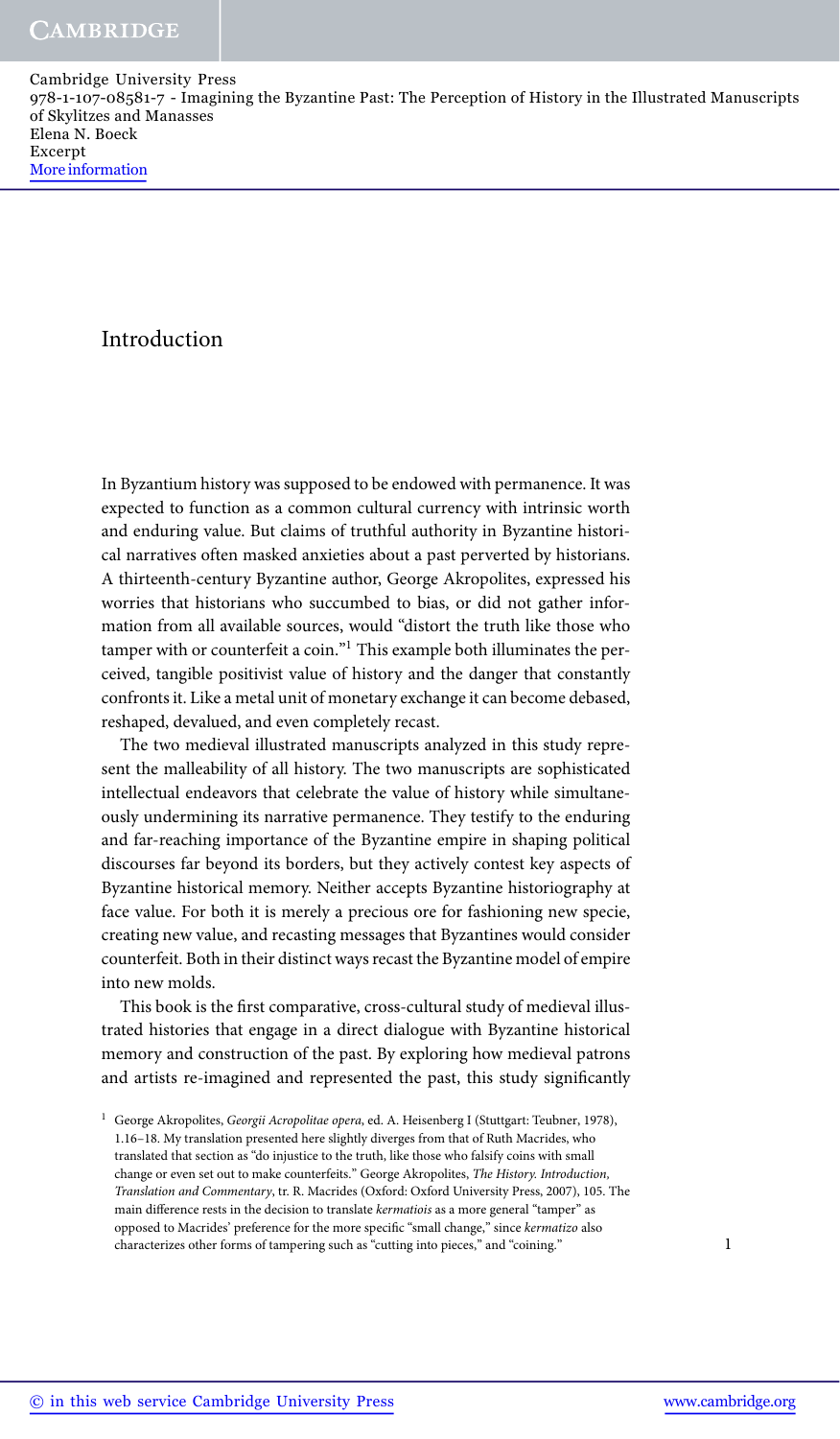# Introduction

In Byzantium history was supposed to be endowed with permanence. It was expected to function as a common cultural currency with intrinsic worth and enduring value. But claims of truthful authority in Byzantine historical narratives often masked anxieties about a past perverted by historians. A thirteenth-century Byzantine author, George Akropolites, expressed his worries that historians who succumbed to bias, or did not gather information from all available sources, would "distort the truth like those who tamper with or counterfeit a coin."<sup>1</sup> This example both illuminates the perceived, tangible positivist value of history and the danger that constantly confronts it. Like a metal unit of monetary exchange it can become debased, reshaped, devalued, and even completely recast.

The two medieval illustrated manuscripts analyzed in this study represent the malleability of all history. The two manuscripts are sophisticated intellectual endeavors that celebrate the value of history while simultaneously undermining its narrative permanence. They testify to the enduring and far-reaching importance of the Byzantine empire in shaping political discourses far beyond its borders, but they actively contest key aspects of Byzantine historical memory. Neither accepts Byzantine historiography at face value. For both it is merely a precious ore for fashioning new specie, creating new value, and recasting messages that Byzantines would consider counterfeit. Both in their distinct ways recast the Byzantine model of empire into new molds.

This book is the first comparative, cross-cultural study of medieval illustrated histories that engage in a direct dialogue with Byzantine historical memory and construction of the past. By exploring how medieval patrons and artists re-imagined and represented the past, this study significantly

<sup>1</sup> George Akropolites, *Georgii Acropolitae opera*, ed. A. Heisenberg I (Stuttgart: Teubner, 1978), 1.16–18. My translation presented here slightly diverges from that of Ruth Macrides, who translated that section as "do injustice to the truth, like those who falsify coins with small change or even set out to make counterfeits." George Akropolites, *The History. Introduction, Translation and Commentary*, tr. R. Macrides (Oxford: Oxford University Press, 2007), 105. The main difference rests in the decision to translate *kermatiois* as a more general "tamper" as opposed to Macrides' preference for the more specific "small change," since *kermatizo* also characterizes other forms of tampering such as "cutting into pieces," and "coining." 1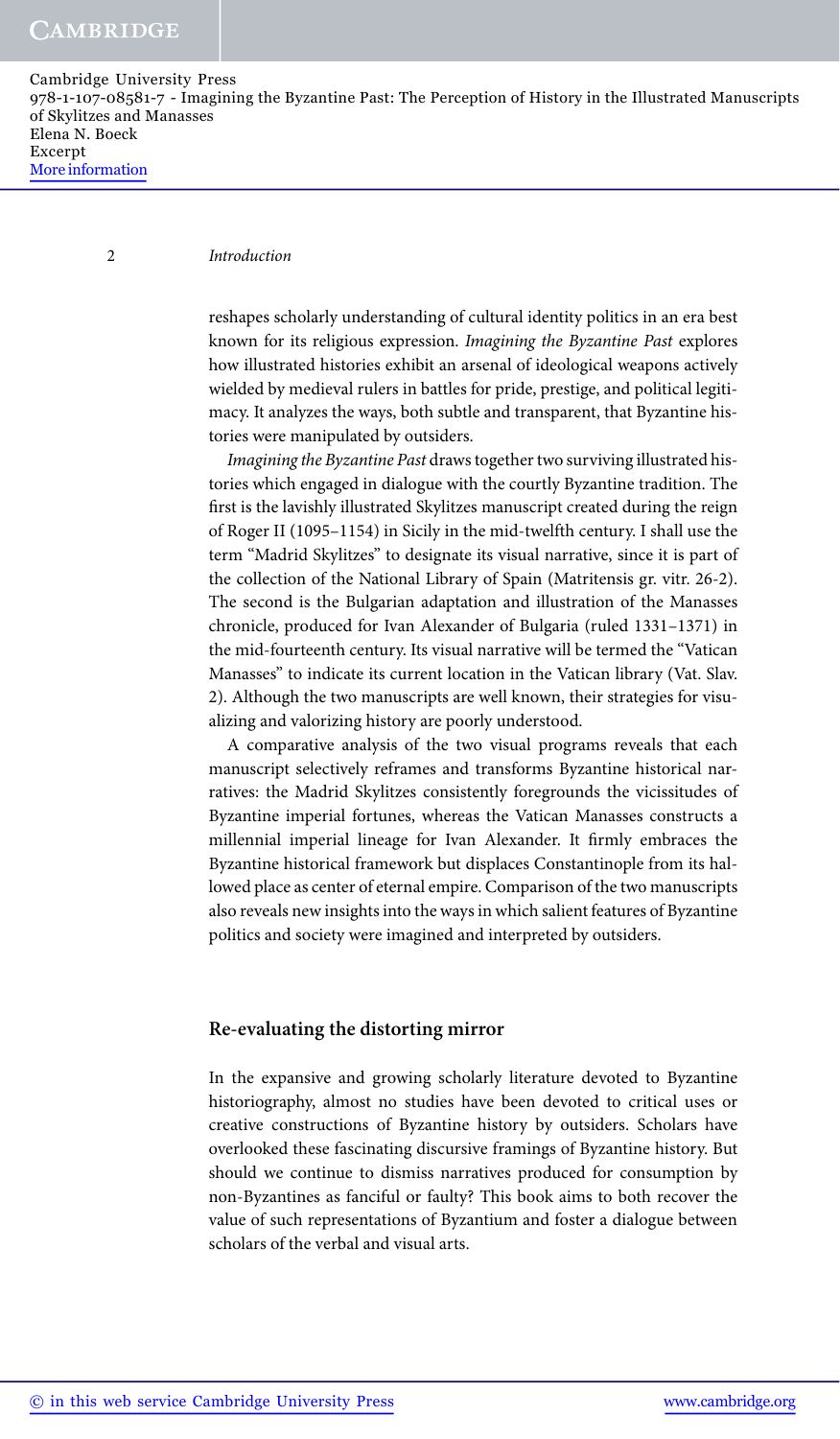### 2 *Introduction*

reshapes scholarly understanding of cultural identity politics in an era best known for its religious expression. *Imagining the Byzantine Past* explores how illustrated histories exhibit an arsenal of ideological weapons actively wielded by medieval rulers in battles for pride, prestige, and political legitimacy. It analyzes the ways, both subtle and transparent, that Byzantine histories were manipulated by outsiders.

*Imagining the Byzantine Past* draws together two surviving illustrated histories which engaged in dialogue with the courtly Byzantine tradition. The first is the lavishly illustrated Skylitzes manuscript created during the reign of Roger II (1095–1154) in Sicily in the mid-twelfth century. I shall use the term "Madrid Skylitzes" to designate its visual narrative, since it is part of the collection of the National Library of Spain (Matritensis gr. vitr. 26-2). The second is the Bulgarian adaptation and illustration of the Manasses chronicle, produced for Ivan Alexander of Bulgaria (ruled 1331–1371) in the mid-fourteenth century. Its visual narrative will be termed the "Vatican Manasses" to indicate its current location in the Vatican library (Vat. Slav. 2). Although the two manuscripts are well known, their strategies for visualizing and valorizing history are poorly understood.

A comparative analysis of the two visual programs reveals that each manuscript selectively reframes and transforms Byzantine historical narratives: the Madrid Skylitzes consistently foregrounds the vicissitudes of Byzantine imperial fortunes, whereas the Vatican Manasses constructs a millennial imperial lineage for Ivan Alexander. It firmly embraces the Byzantine historical framework but displaces Constantinople from its hallowed place as center of eternal empire. Comparison of the two manuscripts also reveals new insights into the ways in which salient features of Byzantine politics and society were imagined and interpreted by outsiders.

### **Re-evaluating the distorting mirror**

In the expansive and growing scholarly literature devoted to Byzantine historiography, almost no studies have been devoted to critical uses or creative constructions of Byzantine history by outsiders. Scholars have overlooked these fascinating discursive framings of Byzantine history. But should we continue to dismiss narratives produced for consumption by non-Byzantines as fanciful or faulty? This book aims to both recover the value of such representations of Byzantium and foster a dialogue between scholars of the verbal and visual arts.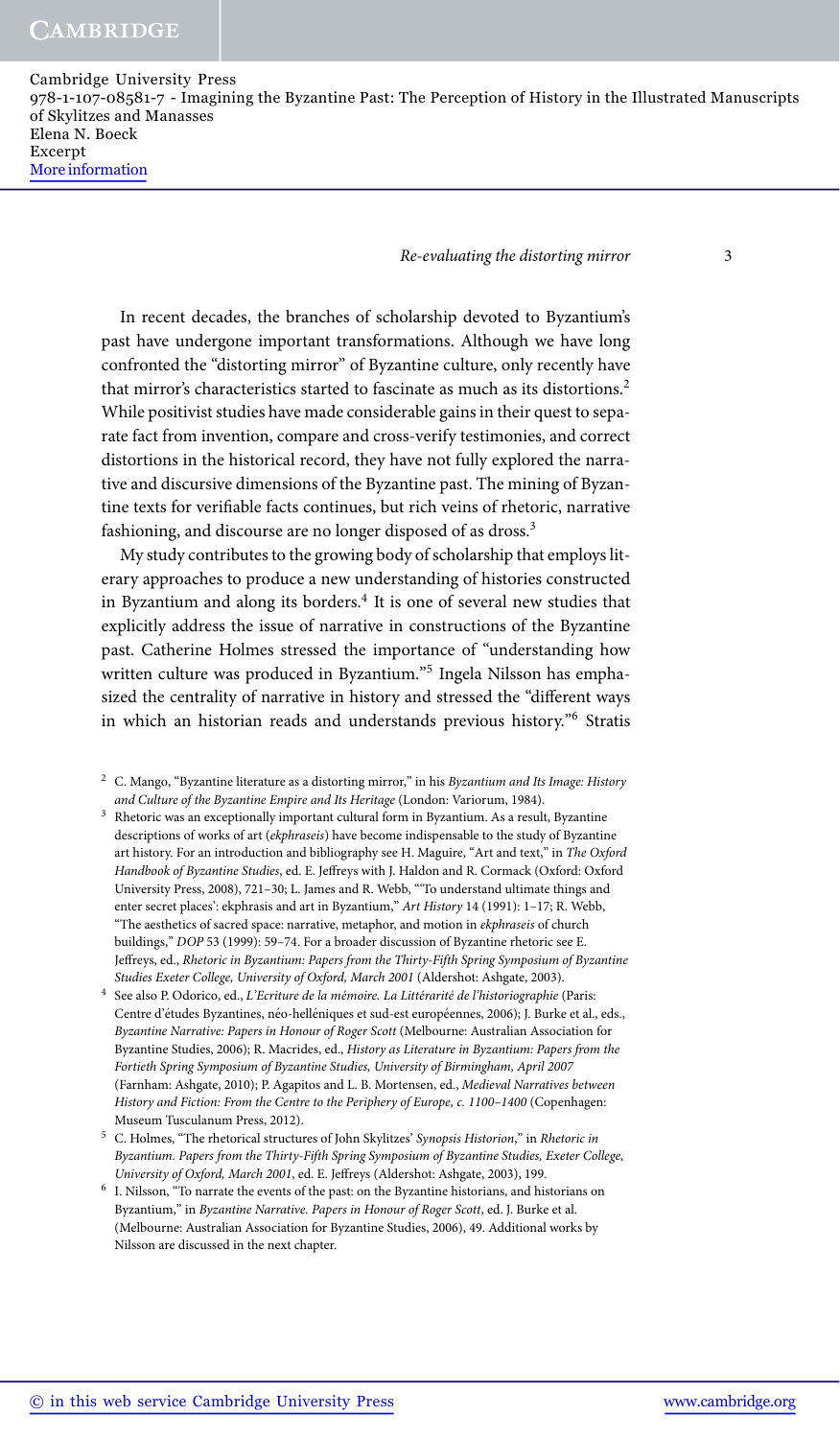*Re-evaluating the distorting mirror* 3

In recent decades, the branches of scholarship devoted to Byzantium's past have undergone important transformations. Although we have long confronted the "distorting mirror" of Byzantine culture, only recently have that mirror's characteristics started to fascinate as much as its distortions.<sup>2</sup> While positivist studies have made considerable gains in their quest to separate fact from invention, compare and cross-verify testimonies, and correct distortions in the historical record, they have not fully explored the narrative and discursive dimensions of the Byzantine past. The mining of Byzantine texts for verifiable facts continues, but rich veins of rhetoric, narrative fashioning, and discourse are no longer disposed of as dross.<sup>3</sup>

My study contributes to the growing body of scholarship that employs literary approaches to produce a new understanding of histories constructed in Byzantium and along its borders.<sup>4</sup> It is one of several new studies that explicitly address the issue of narrative in constructions of the Byzantine past. Catherine Holmes stressed the importance of "understanding how written culture was produced in Byzantium."<sup>5</sup> Ingela Nilsson has emphasized the centrality of narrative in history and stressed the "different ways in which an historian reads and understands previous history."6 Stratis

- <sup>2</sup> C. Mango, "Byzantine literature as a distorting mirror," in his *Byzantium and Its Image: History and Culture of the Byzantine Empire and Its Heritage* (London: Variorum, 1984).
- $^3$  Rhetoric was an exceptionally important cultural form in Byzantium. As a result, Byzantine descriptions of works of art (*ekphraseis*) have become indispensable to the study of Byzantine art history. For an introduction and bibliography see H. Maguire, "Art and text," in *The Oxford Handbook of Byzantine Studies*, ed. E. Jeffreys with J. Haldon and R. Cormack (Oxford: Oxford University Press, 2008), 721–30; L. James and R. Webb, "'To understand ultimate things and enter secret places': ekphrasis and art in Byzantium," *Art History* 14 (1991): 1–17; R. Webb, "The aesthetics of sacred space: narrative, metaphor, and motion in *ekphraseis* of church buildings," *DOP* 53 (1999): 59–74. For a broader discussion of Byzantine rhetoric see E. Jeffreys, ed., *Rhetoric in Byzantium: Papers from the Thirty-Fifth Spring Symposium of Byzantine Studies Exeter College, University of Oxford, March 2001* (Aldershot: Ashgate, 2003).
- <sup>4</sup> See also P. Odorico, ed., *L'Ecriture de la mémoire. La Littérarité de l'historiographie* (Paris: Centre d'études Byzantines, néo-helléniques et sud-est européennes, 2006); J. Burke et al., eds., *Byzantine Narrative: Papers in Honour of Roger Scott* (Melbourne: Australian Association for Byzantine Studies, 2006); R. Macrides, ed., *History as Literature in Byzantium: Papers from the Fortieth Spring Symposium of Byzantine Studies, University of Birmingham, April 2007* (Farnham: Ashgate, 2010); P. Agapitos and L. B. Mortensen, ed., *Medieval Narratives between History and Fiction: From the Centre to the Periphery of Europe, c. 1100–1400* (Copenhagen: Museum Tusculanum Press, 2012).
- <sup>5</sup> C. Holmes, "The rhetorical structures of John Skylitzes' *Synopsis Historion*," in *Rhetoric in Byzantium. Papers from the Thirty-Fifth Spring Symposium of Byzantine Studies, Exeter College, University of Oxford, March 2001*, ed. E. Jeffreys (Aldershot: Ashgate, 2003), 199.
- $^6\;$  I. Nilsson, "To narrate the events of the past: on the Byzantine historians, and historians on Byzantium," in *Byzantine Narrative. Papers in Honour of Roger Scott*, ed. J. Burke et al. (Melbourne: Australian Association for Byzantine Studies, 2006), 49. Additional works by Nilsson are discussed in the next chapter.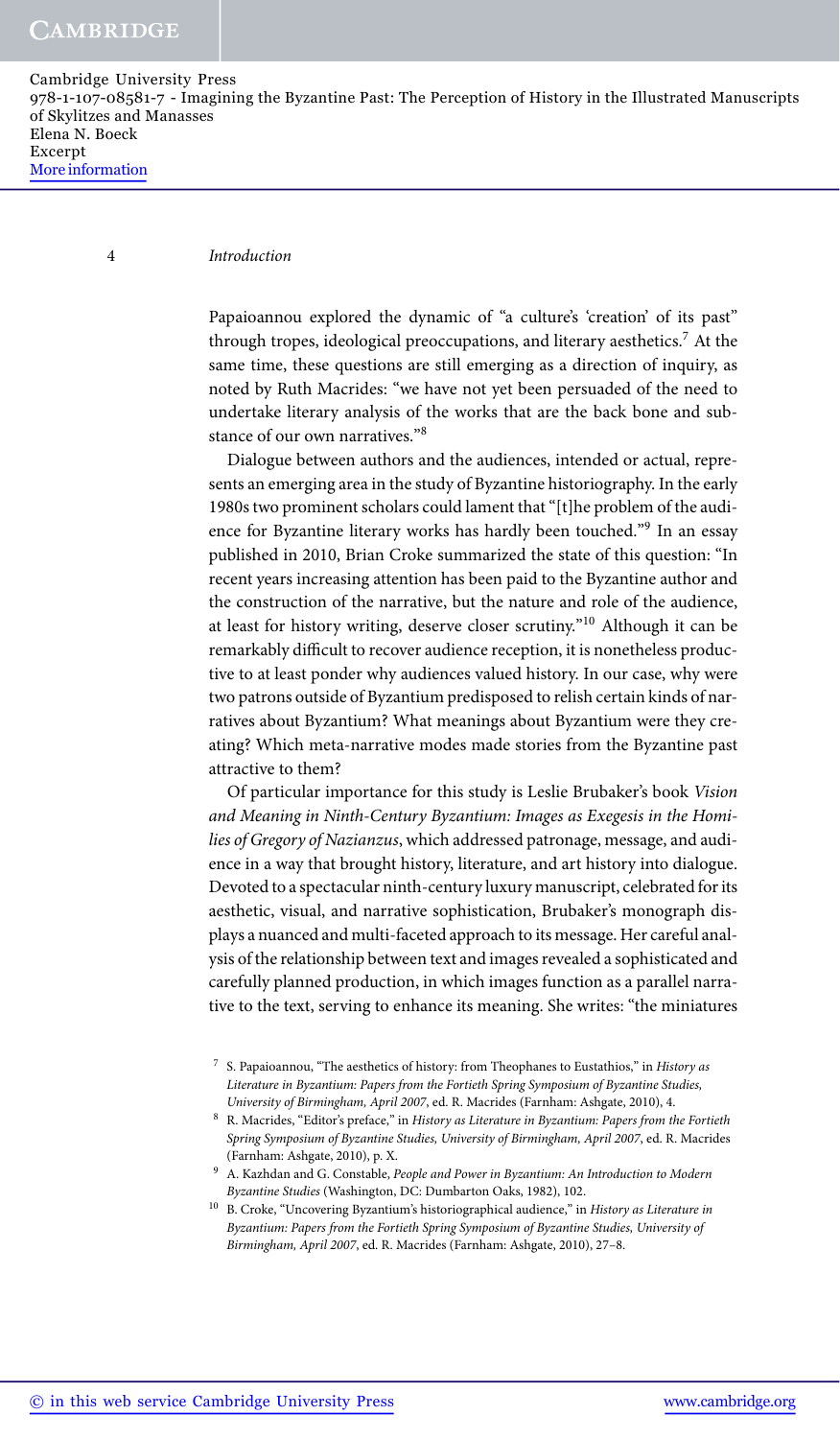#### 4 *Introduction*

Papaioannou explored the dynamic of "a culture's 'creation' of its past" through tropes, ideological preoccupations, and literary aesthetics.<sup>7</sup> At the same time, these questions are still emerging as a direction of inquiry, as noted by Ruth Macrides: "we have not yet been persuaded of the need to undertake literary analysis of the works that are the back bone and substance of our own narratives."<sup>8</sup>

Dialogue between authors and the audiences, intended or actual, represents an emerging area in the study of Byzantine historiography. In the early 1980s two prominent scholars could lament that "[t]he problem of the audience for Byzantine literary works has hardly been touched."9 In an essay published in 2010, Brian Croke summarized the state of this question: "In recent years increasing attention has been paid to the Byzantine author and the construction of the narrative, but the nature and role of the audience, at least for history writing, deserve closer scrutiny."<sup>10</sup> Although it can be remarkably difficult to recover audience reception, it is nonetheless productive to at least ponder why audiences valued history. In our case, why were two patrons outside of Byzantium predisposed to relish certain kinds of narratives about Byzantium? What meanings about Byzantium were they creating? Which meta-narrative modes made stories from the Byzantine past attractive to them?

Of particular importance for this study is Leslie Brubaker's book *Vision and Meaning in Ninth-Century Byzantium: Images as Exegesis in the Homilies of Gregory of Nazianzus*, which addressed patronage, message, and audience in a way that brought history, literature, and art history into dialogue. Devoted to a spectacular ninth-century luxury manuscript, celebrated for its aesthetic, visual, and narrative sophistication, Brubaker's monograph displays a nuanced and multi-faceted approach to its message. Her careful analysis of the relationship between text and images revealed a sophisticated and carefully planned production, in which images function as a parallel narrative to the text, serving to enhance its meaning. She writes: "the miniatures

<sup>7</sup> S. Papaioannou, "The aesthetics of history: from Theophanes to Eustathios," in *History as Literature in Byzantium: Papers from the Fortieth Spring Symposium of Byzantine Studies, University of Birmingham, April 2007*, ed. R. Macrides (Farnham: Ashgate, 2010), 4.

<sup>8</sup> R. Macrides, "Editor's preface," in *History as Literature in Byzantium: Papers from the Fortieth Spring Symposium of Byzantine Studies, University of Birmingham, April 2007*, ed. R. Macrides (Farnham: Ashgate, 2010), p. X.

<sup>9</sup> A. Kazhdan and G. Constable, *People and Power in Byzantium: An Introduction to Modern Byzantine Studies* (Washington, DC: Dumbarton Oaks, 1982), 102.

<sup>10</sup> B. Croke, "Uncovering Byzantium's historiographical audience," in *History as Literature in Byzantium: Papers from the Fortieth Spring Symposium of Byzantine Studies, University of Birmingham, April 2007*, ed. R. Macrides (Farnham: Ashgate, 2010), 27–8.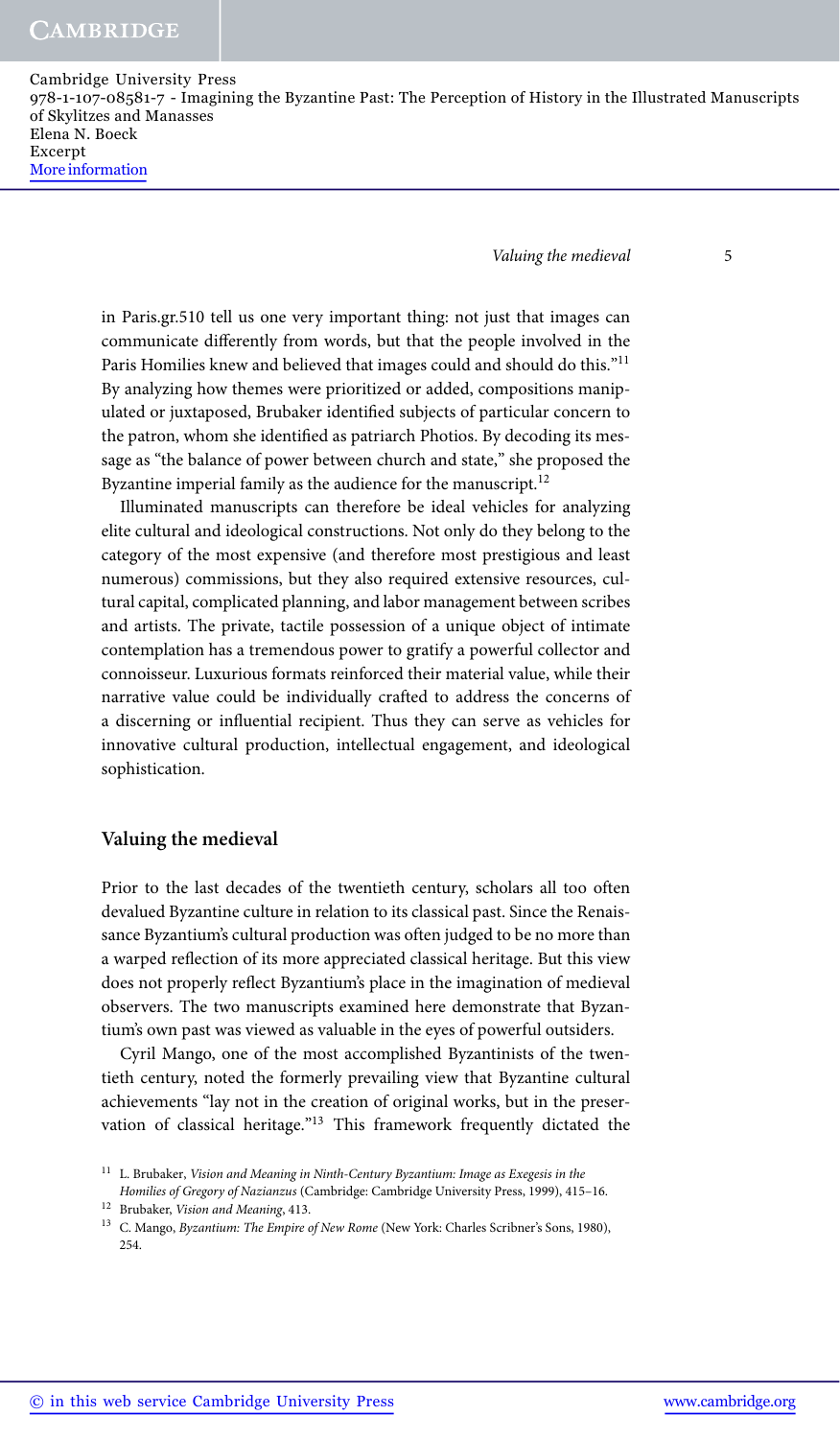*Valuing the medieval* 5

in Paris.gr.510 tell us one very important thing: not just that images can communicate differently from words, but that the people involved in the Paris Homilies knew and believed that images could and should do this."<sup>11</sup> By analyzing how themes were prioritized or added, compositions manipulated or juxtaposed, Brubaker identified subjects of particular concern to the patron, whom she identified as patriarch Photios. By decoding its message as "the balance of power between church and state," she proposed the Byzantine imperial family as the audience for the manuscript.<sup>12</sup>

Illuminated manuscripts can therefore be ideal vehicles for analyzing elite cultural and ideological constructions. Not only do they belong to the category of the most expensive (and therefore most prestigious and least numerous) commissions, but they also required extensive resources, cultural capital, complicated planning, and labor management between scribes and artists. The private, tactile possession of a unique object of intimate contemplation has a tremendous power to gratify a powerful collector and connoisseur. Luxurious formats reinforced their material value, while their narrative value could be individually crafted to address the concerns of a discerning or influential recipient. Thus they can serve as vehicles for innovative cultural production, intellectual engagement, and ideological sophistication.

# **Valuing the medieval**

Prior to the last decades of the twentieth century, scholars all too often devalued Byzantine culture in relation to its classical past. Since the Renaissance Byzantium's cultural production was often judged to be no more than a warped reflection of its more appreciated classical heritage. But this view does not properly reflect Byzantium's place in the imagination of medieval observers. The two manuscripts examined here demonstrate that Byzantium's own past was viewed as valuable in the eyes of powerful outsiders.

Cyril Mango, one of the most accomplished Byzantinists of the twentieth century, noted the formerly prevailing view that Byzantine cultural achievements "lay not in the creation of original works, but in the preservation of classical heritage."<sup>13</sup> This framework frequently dictated the

<sup>11</sup> L. Brubaker, *Vision and Meaning in Ninth-Century Byzantium: Image as Exegesis in the Homilies of Gregory of Nazianzus* (Cambridge: Cambridge University Press, 1999), 415–16.

<sup>12</sup> Brubaker, *Vision and Meaning*, 413.

<sup>13</sup> C. Mango, *Byzantium: The Empire of New Rome* (New York: Charles Scribner's Sons, 1980), 254.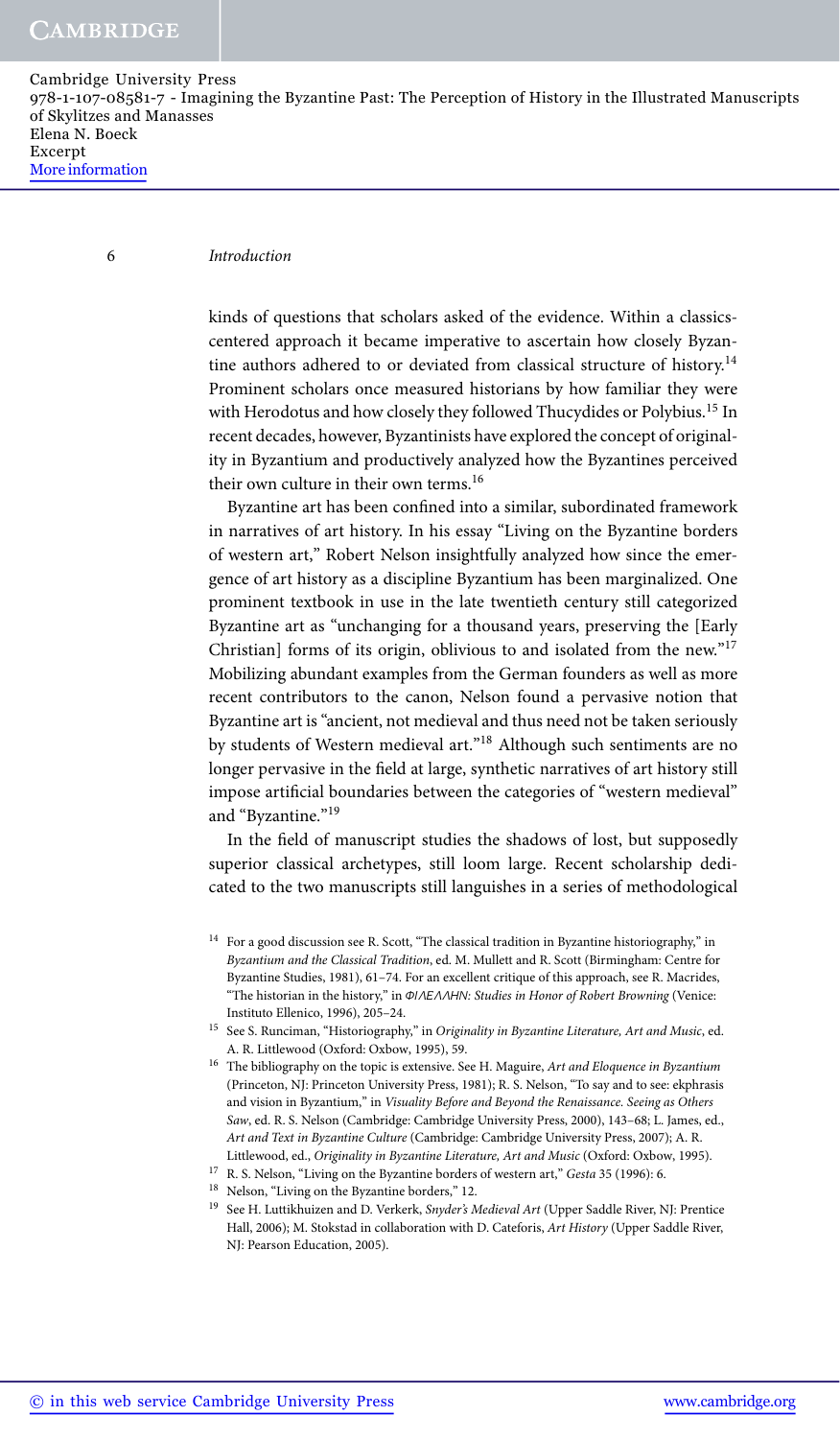#### 6 *Introduction*

kinds of questions that scholars asked of the evidence. Within a classicscentered approach it became imperative to ascertain how closely Byzantine authors adhered to or deviated from classical structure of history.<sup>14</sup> Prominent scholars once measured historians by how familiar they were with Herodotus and how closely they followed Thucydides or Polybius.<sup>15</sup> In recent decades, however, Byzantinists have explored the concept of originality in Byzantium and productively analyzed how the Byzantines perceived their own culture in their own terms.<sup>16</sup>

Byzantine art has been confined into a similar, subordinated framework in narratives of art history. In his essay "Living on the Byzantine borders of western art," Robert Nelson insightfully analyzed how since the emergence of art history as a discipline Byzantium has been marginalized. One prominent textbook in use in the late twentieth century still categorized Byzantine art as "unchanging for a thousand years, preserving the [Early Christian] forms of its origin, oblivious to and isolated from the new."<sup>17</sup> Mobilizing abundant examples from the German founders as well as more recent contributors to the canon, Nelson found a pervasive notion that Byzantine art is "ancient, not medieval and thus need not be taken seriously by students of Western medieval art."<sup>18</sup> Although such sentiments are no longer pervasive in the field at large, synthetic narratives of art history still impose artificial boundaries between the categories of "western medieval" and "Byzantine."<sup>19</sup>

In the field of manuscript studies the shadows of lost, but supposedly superior classical archetypes, still loom large. Recent scholarship dedicated to the two manuscripts still languishes in a series of methodological

<sup>&</sup>lt;sup>14</sup> For a good discussion see R. Scott, "The classical tradition in Byzantine historiography," in *Byzantium and the Classical Tradition*, ed. M. Mullett and R. Scott (Birmingham: Centre for Byzantine Studies, 1981), 61–74. For an excellent critique of this approach, see R. Macrides, "The historian in the history," in *ΦΙΛΕΛΛΗΝ: Studies in Honor of Robert Browning* (Venice: Instituto Ellenico, 1996), 205–24.

<sup>15</sup> See S. Runciman, "Historiography," in *Originality in Byzantine Literature, Art and Music*, ed. A. R. Littlewood (Oxford: Oxbow, 1995), 59.

<sup>16</sup> The bibliography on the topic is extensive. See H. Maguire, *Art and Eloquence in Byzantium* (Princeton, NJ: Princeton University Press, 1981); R. S. Nelson, "To say and to see: ekphrasis and vision in Byzantium," in *Visuality Before and Beyond the Renaissance. Seeing as Others Saw*, ed. R. S. Nelson (Cambridge: Cambridge University Press, 2000), 143–68; L. James, ed., *Art and Text in Byzantine Culture* (Cambridge: Cambridge University Press, 2007); A. R. Littlewood, ed., *Originality in Byzantine Literature, Art and Music* (Oxford: Oxbow, 1995).

<sup>17</sup> R. S. Nelson, "Living on the Byzantine borders of western art," *Gesta* 35 (1996): 6.

<sup>18</sup> Nelson, "Living on the Byzantine borders," 12.

<sup>19</sup> See H. Luttikhuizen and D. Verkerk, *Snyder's Medieval Art* (Upper Saddle River, NJ: Prentice Hall, 2006); M. Stokstad in collaboration with D. Cateforis, *Art History* (Upper Saddle River, NJ: Pearson Education, 2005).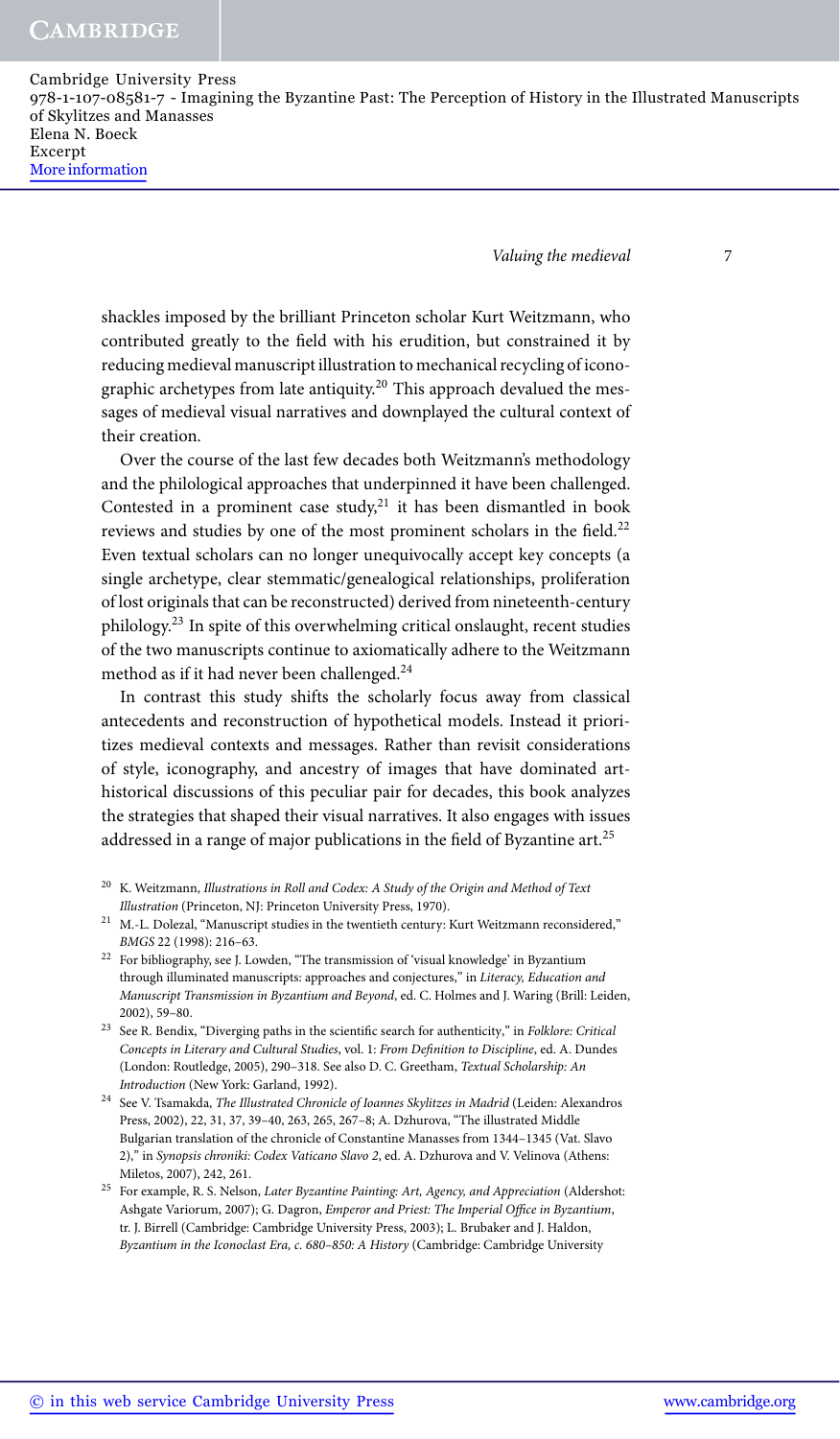*Valuing the medieval* 7

shackles imposed by the brilliant Princeton scholar Kurt Weitzmann, who contributed greatly to the field with his erudition, but constrained it by reducing medieval manuscript illustration to mechanical recycling of iconographic archetypes from late antiquity.<sup>20</sup> This approach devalued the messages of medieval visual narratives and downplayed the cultural context of their creation.

Over the course of the last few decades both Weitzmann's methodology and the philological approaches that underpinned it have been challenged. Contested in a prominent case study, $21$  it has been dismantled in book reviews and studies by one of the most prominent scholars in the field.<sup>22</sup> Even textual scholars can no longer unequivocally accept key concepts (a single archetype, clear stemmatic/genealogical relationships, proliferation of lost originals that can be reconstructed) derived from nineteenth-century philology.<sup>23</sup> In spite of this overwhelming critical onslaught, recent studies of the two manuscripts continue to axiomatically adhere to the Weitzmann method as if it had never been challenged.<sup>24</sup>

In contrast this study shifts the scholarly focus away from classical antecedents and reconstruction of hypothetical models. Instead it prioritizes medieval contexts and messages. Rather than revisit considerations of style, iconography, and ancestry of images that have dominated arthistorical discussions of this peculiar pair for decades, this book analyzes the strategies that shaped their visual narratives. It also engages with issues addressed in a range of major publications in the field of Byzantine art.<sup>25</sup>

- <sup>20</sup> K. Weitzmann, *Illustrations in Roll and Codex: A Study of the Origin and Method of Text Illustration* (Princeton, NJ: Princeton University Press, 1970).
- $21$  M.-L. Dolezal, "Manuscript studies in the twentieth century: Kurt Weitzmann reconsidered," *BMGS* 22 (1998): 216–63.
- $^{22}\,$  For bibliography, see J. Lowden, "The transmission of 'visual knowledge' in Byzantium through illuminated manuscripts: approaches and conjectures," in *Literacy, Education and Manuscript Transmission in Byzantium and Beyond*, ed. C. Holmes and J. Waring (Brill: Leiden, 2002), 59–80.
- <sup>23</sup> See R. Bendix, "Diverging paths in the scientific search for authenticity," in *Folklore: Critical Concepts in Literary and Cultural Studies*, vol. 1: *From Definition to Discipline*, ed. A. Dundes (London: Routledge, 2005), 290–318. See also D. C. Greetham, *Textual Scholarship: An Introduction* (New York: Garland, 1992).
- <sup>24</sup> See V. Tsamakda, *The Illustrated Chronicle of Ioannes Skylitzes in Madrid* (Leiden: Alexandros Press, 2002), 22, 31, 37, 39–40, 263, 265, 267–8; A. Dzhurova, "The illustrated Middle Bulgarian translation of the chronicle of Constantine Manasses from 1344–1345 (Vat. Slavo 2)," in *Synopsis chroniki: Codex Vaticano Slavo 2*, ed. A. Dzhurova and V. Velinova (Athens: Miletos, 2007), 242, 261.
- <sup>25</sup> For example, R. S. Nelson, *Later Byzantine Painting: Art, Agency, and Appreciation* (Aldershot: Ashgate Variorum, 2007); G. Dagron, *Emperor and Priest: The Imperial Office in Byzantium*, tr. J. Birrell (Cambridge: Cambridge University Press, 2003); L. Brubaker and J. Haldon, *Byzantium in the Iconoclast Era, c. 680–850: A History* (Cambridge: Cambridge University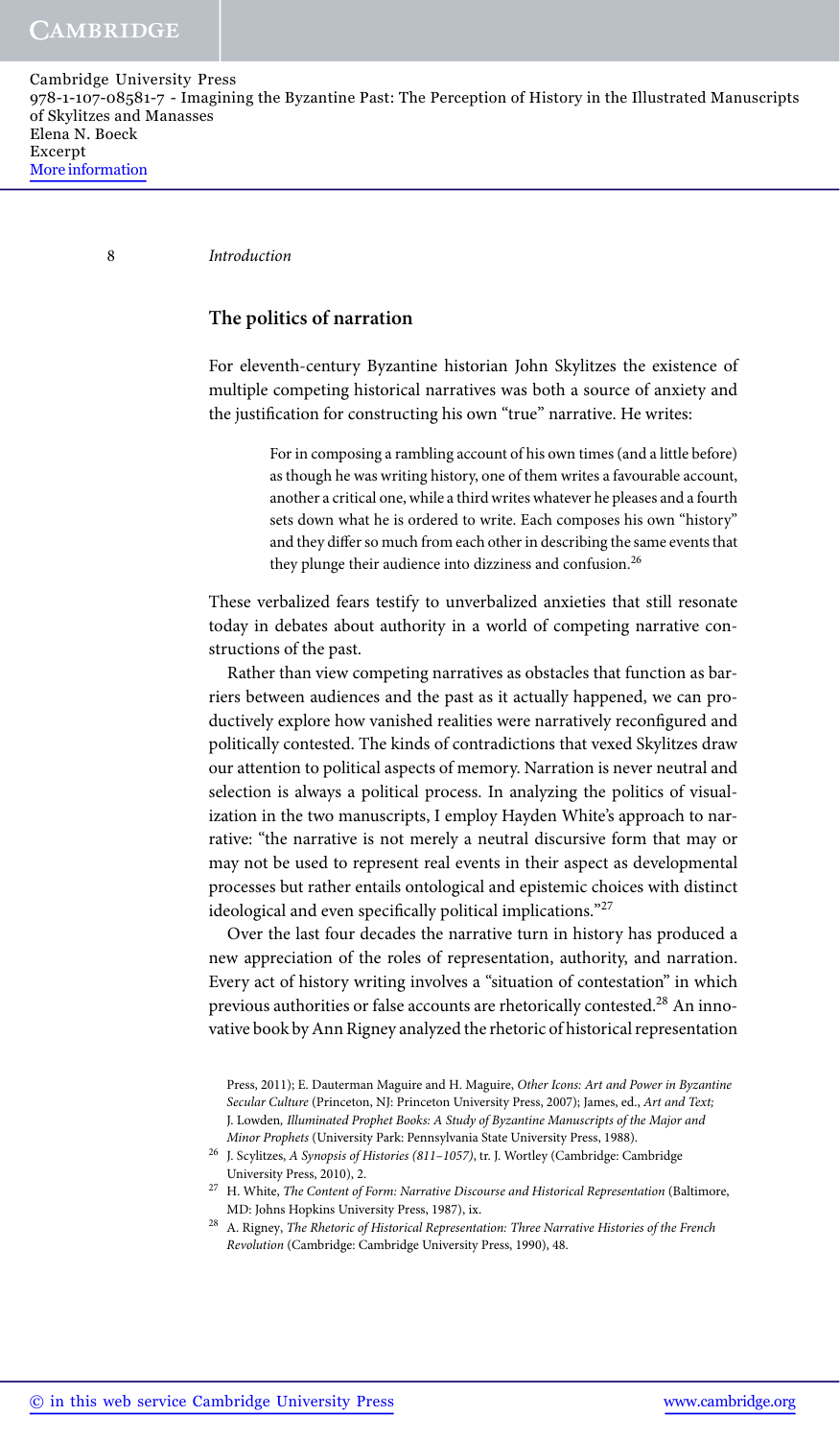8 *Introduction*

## **The politics of narration**

For eleventh-century Byzantine historian John Skylitzes the existence of multiple competing historical narratives was both a source of anxiety and the justification for constructing his own "true" narrative. He writes:

> For in composing a rambling account of his own times (and a little before) as though he was writing history, one of them writes a favourable account, another a critical one, while a third writes whatever he pleases and a fourth sets down what he is ordered to write. Each composes his own "history" and they differ so much from each other in describing the same events that they plunge their audience into dizziness and confusion.<sup>26</sup>

These verbalized fears testify to unverbalized anxieties that still resonate today in debates about authority in a world of competing narrative constructions of the past.

Rather than view competing narratives as obstacles that function as barriers between audiences and the past as it actually happened, we can productively explore how vanished realities were narratively reconfigured and politically contested. The kinds of contradictions that vexed Skylitzes draw our attention to political aspects of memory. Narration is never neutral and selection is always a political process. In analyzing the politics of visualization in the two manuscripts, I employ Hayden White's approach to narrative: "the narrative is not merely a neutral discursive form that may or may not be used to represent real events in their aspect as developmental processes but rather entails ontological and epistemic choices with distinct ideological and even specifically political implications."<sup>27</sup>

Over the last four decades the narrative turn in history has produced a new appreciation of the roles of representation, authority, and narration. Every act of history writing involves a "situation of contestation" in which previous authorities or false accounts are rhetorically contested.<sup>28</sup> An innovative book by Ann Rigney analyzed the rhetoric of historical representation

Press, 2011); E. Dauterman Maguire and H. Maguire, *Other Icons: Art and Power in Byzantine Secular Culture* (Princeton, NJ: Princeton University Press, 2007); James, ed., *Art and Text;* J. Lowden*, Illuminated Prophet Books: A Study of Byzantine Manuscripts of the Major and Minor Prophets* (University Park: Pennsylvania State University Press, 1988).

<sup>26</sup> J. Scylitzes, *A Synopsis of Histories (811–1057)*, tr. J. Wortley (Cambridge: Cambridge University Press, 2010), 2.

<sup>27</sup> H. White, *The Content of Form: Narrative Discourse and Historical Representation* (Baltimore, MD: Johns Hopkins University Press, 1987), ix.

<sup>28</sup> A. Rigney, *The Rhetoric of Historical Representation: Three Narrative Histories of the French Revolution* (Cambridge: Cambridge University Press, 1990), 48.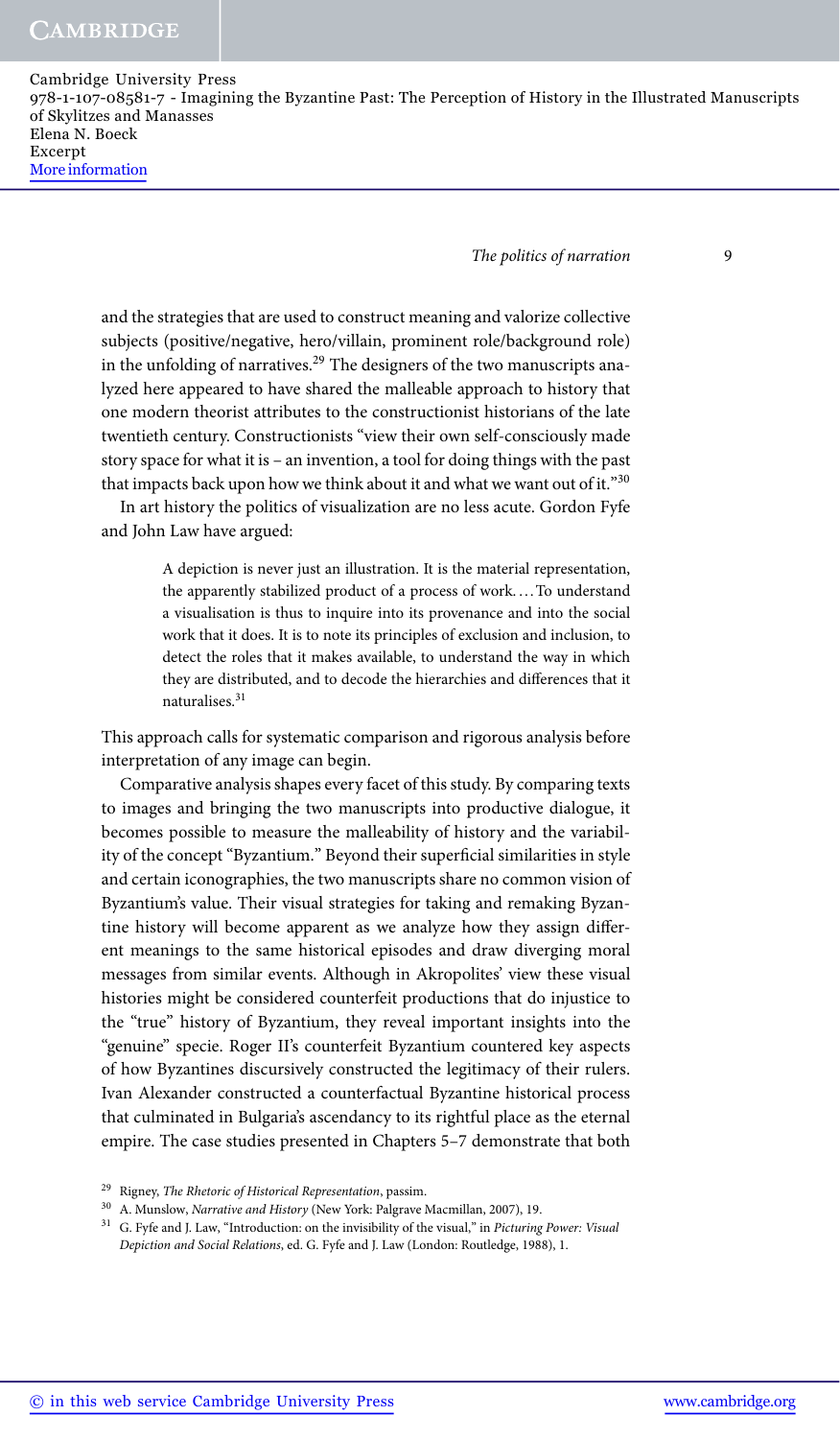*The politics of narration* 9

and the strategies that are used to construct meaning and valorize collective subjects (positive/negative, hero/villain, prominent role/background role) in the unfolding of narratives.<sup>29</sup> The designers of the two manuscripts analyzed here appeared to have shared the malleable approach to history that one modern theorist attributes to the constructionist historians of the late twentieth century. Constructionists "view their own self-consciously made story space for what it is – an invention, a tool for doing things with the past that impacts back upon how we think about it and what we want out of it."<sup>30</sup>

In art history the politics of visualization are no less acute. Gordon Fyfe and John Law have argued:

> A depiction is never just an illustration. It is the material representation, the apparently stabilized product of a process of work. ...To understand a visualisation is thus to inquire into its provenance and into the social work that it does. It is to note its principles of exclusion and inclusion, to detect the roles that it makes available, to understand the way in which they are distributed, and to decode the hierarchies and differences that it naturalises.<sup>31</sup>

This approach calls for systematic comparison and rigorous analysis before interpretation of any image can begin.

Comparative analysis shapes every facet of this study. By comparing texts to images and bringing the two manuscripts into productive dialogue, it becomes possible to measure the malleability of history and the variability of the concept "Byzantium." Beyond their superficial similarities in style and certain iconographies, the two manuscripts share no common vision of Byzantium's value. Their visual strategies for taking and remaking Byzantine history will become apparent as we analyze how they assign different meanings to the same historical episodes and draw diverging moral messages from similar events. Although in Akropolites' view these visual histories might be considered counterfeit productions that do injustice to the "true" history of Byzantium, they reveal important insights into the "genuine" specie. Roger II's counterfeit Byzantium countered key aspects of how Byzantines discursively constructed the legitimacy of their rulers. Ivan Alexander constructed a counterfactual Byzantine historical process that culminated in Bulgaria's ascendancy to its rightful place as the eternal empire. The case studies presented in Chapters 5–7 demonstrate that both

<sup>29</sup> Rigney, *The Rhetoric of Historical Representation*, passim.

<sup>30</sup> A. Munslow, *Narrative and History* (New York: Palgrave Macmillan, 2007), 19.

<sup>31</sup> G. Fyfe and J. Law, "Introduction: on the invisibility of the visual," in *Picturing Power: Visual Depiction and Social Relations*, ed. G. Fyfe and J. Law (London: Routledge, 1988), 1.